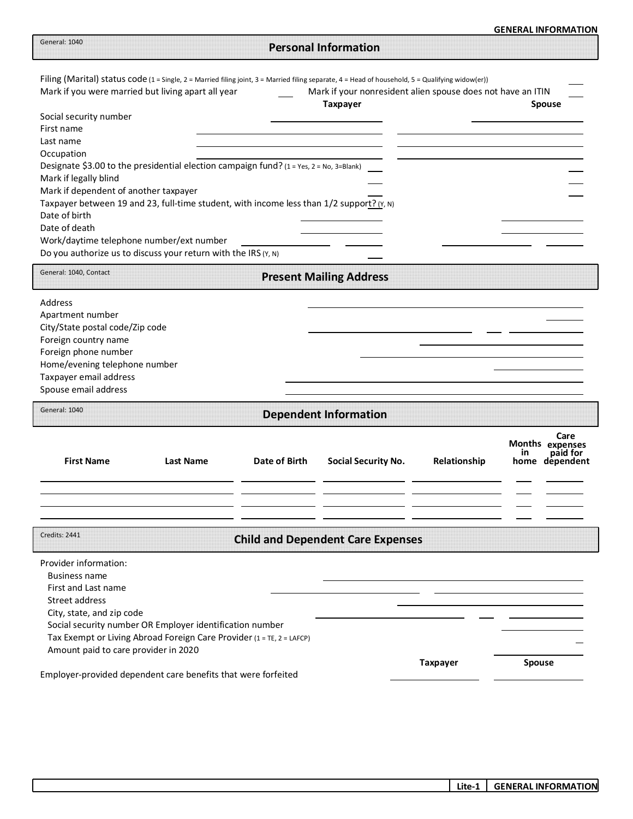| Mark if you were married but living apart all year |                                                                                          |               | Mark if your nonresident alien spouse does not have an ITIN<br><b>Taxpayer</b> |                 | Spouse                                                      |
|----------------------------------------------------|------------------------------------------------------------------------------------------|---------------|--------------------------------------------------------------------------------|-----------------|-------------------------------------------------------------|
| Social security number                             |                                                                                          |               |                                                                                |                 |                                                             |
| First name                                         |                                                                                          |               |                                                                                |                 |                                                             |
| Last name                                          |                                                                                          |               |                                                                                |                 |                                                             |
| Occupation                                         |                                                                                          |               |                                                                                |                 |                                                             |
|                                                    | Designate \$3.00 to the presidential election campaign fund? (1 = Yes, 2 = No, 3=Blank)  |               |                                                                                |                 |                                                             |
| Mark if legally blind                              |                                                                                          |               |                                                                                |                 |                                                             |
| Mark if dependent of another taxpayer              |                                                                                          |               |                                                                                |                 |                                                             |
|                                                    | Taxpayer between 19 and 23, full-time student, with income less than 1/2 support? (Y, N) |               |                                                                                |                 |                                                             |
| Date of birth                                      |                                                                                          |               |                                                                                |                 |                                                             |
| Date of death                                      |                                                                                          |               |                                                                                |                 |                                                             |
| Work/daytime telephone number/ext number           |                                                                                          |               |                                                                                |                 |                                                             |
|                                                    | Do you authorize us to discuss your return with the IRS (Y, N)                           |               |                                                                                |                 |                                                             |
| General: 1040, Contact                             |                                                                                          |               | <b>Present Mailing Address</b>                                                 |                 |                                                             |
| Address                                            |                                                                                          |               |                                                                                |                 |                                                             |
| Apartment number                                   |                                                                                          |               |                                                                                |                 |                                                             |
| City/State postal code/Zip code                    |                                                                                          |               |                                                                                |                 |                                                             |
| Foreign country name                               |                                                                                          |               |                                                                                |                 |                                                             |
| Foreign phone number                               |                                                                                          |               |                                                                                |                 |                                                             |
| Home/evening telephone number                      |                                                                                          |               |                                                                                |                 |                                                             |
| Taxpayer email address                             |                                                                                          |               |                                                                                |                 |                                                             |
| Spouse email address                               |                                                                                          |               |                                                                                |                 |                                                             |
| General: 1040                                      |                                                                                          |               | <b>Dependent Information</b>                                                   |                 |                                                             |
| <b>First Name</b>                                  | <b>Last Name</b>                                                                         | Date of Birth | <b>Social Security No.</b>                                                     | Relationship    | Care<br>Months expenses<br>in<br>paid for<br>home dependent |
| Credits: 2441                                      |                                                                                          |               | <b>Child and Dependent Care Expenses</b>                                       |                 |                                                             |
|                                                    |                                                                                          |               |                                                                                |                 |                                                             |
|                                                    |                                                                                          |               |                                                                                |                 |                                                             |
| <b>Business name</b>                               |                                                                                          |               |                                                                                |                 |                                                             |
| First and Last name                                |                                                                                          |               |                                                                                |                 |                                                             |
| <b>Street address</b>                              |                                                                                          |               |                                                                                |                 |                                                             |
| City, state, and zip code                          |                                                                                          |               |                                                                                |                 |                                                             |
|                                                    | Social security number OR Employer identification number                                 |               |                                                                                |                 |                                                             |
|                                                    | Tax Exempt or Living Abroad Foreign Care Provider (1 = TE, 2 = LAFCP)                    |               |                                                                                |                 |                                                             |
| Amount paid to care provider in 2020               |                                                                                          |               |                                                                                |                 |                                                             |
| Provider information:                              | Employer-provided dependent care benefits that were forfeited                            |               |                                                                                | <b>Taxpayer</b> | <b>Spouse</b>                                               |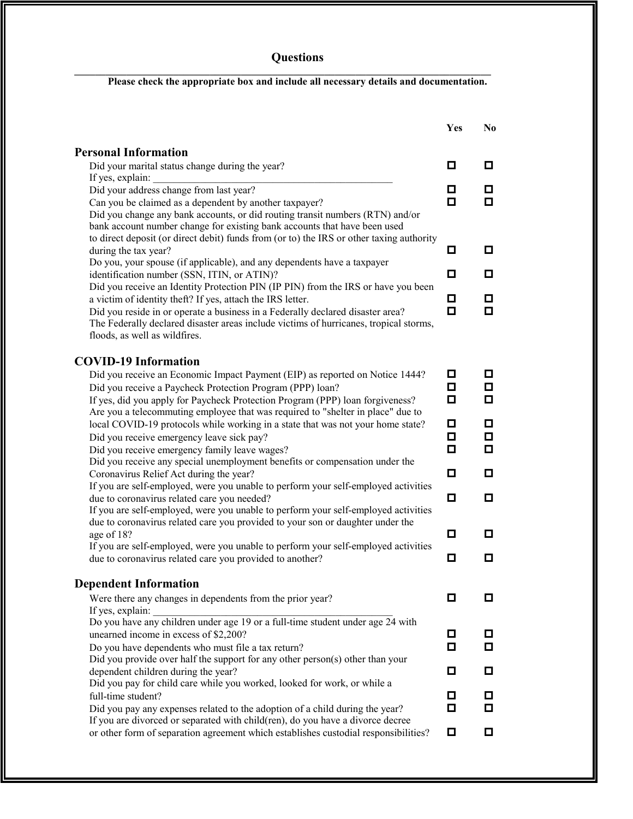## **Questions**

## **Please check the appropriate box and include all necessary details and documentation.**

**\_\_\_\_\_\_\_\_\_\_\_\_\_\_\_\_\_\_\_\_\_\_\_\_\_\_\_\_\_\_\_\_\_\_\_\_\_\_\_\_\_\_\_\_\_\_\_\_\_\_\_\_\_\_\_\_\_\_\_\_\_\_\_\_\_\_\_\_\_\_\_\_\_\_\_\_\_\_\_\_**

|                                                                                                                                                                      | Yes    | No               |
|----------------------------------------------------------------------------------------------------------------------------------------------------------------------|--------|------------------|
| <b>Personal Information</b>                                                                                                                                          |        |                  |
| Did your marital status change during the year?<br>If yes, explain:                                                                                                  | о      | О                |
| Did your address change from last year?                                                                                                                              | о      | О.               |
| Can you be claimed as a dependent by another taxpayer?                                                                                                               | О      | о                |
| Did you change any bank accounts, or did routing transit numbers (RTN) and/or                                                                                        |        |                  |
| bank account number change for existing bank accounts that have been used                                                                                            |        |                  |
| to direct deposit (or direct debit) funds from (or to) the IRS or other taxing authority                                                                             | □      | 0                |
| during the tax year?<br>Do you, your spouse (if applicable), and any dependents have a taxpayer                                                                      |        |                  |
| identification number (SSN, ITIN, or ATIN)?                                                                                                                          | □      | О                |
| Did you receive an Identity Protection PIN (IP PIN) from the IRS or have you been                                                                                    |        |                  |
| a victim of identity theft? If yes, attach the IRS letter.                                                                                                           | о      | О                |
| Did you reside in or operate a business in a Federally declared disaster area?                                                                                       | о      | о                |
| The Federally declared disaster areas include victims of hurricanes, tropical storms,                                                                                |        |                  |
| floods, as well as wildfires.                                                                                                                                        |        |                  |
| <b>COVID-19 Information</b>                                                                                                                                          |        |                  |
| Did you receive an Economic Impact Payment (EIP) as reported on Notice 1444?                                                                                         | о      |                  |
| Did you receive a Paycheck Protection Program (PPP) loan?                                                                                                            | О      | $\Box$           |
| If yes, did you apply for Paycheck Protection Program (PPP) loan forgiveness?                                                                                        | О      | О.               |
| Are you a telecommuting employee that was required to "shelter in place" due to                                                                                      |        |                  |
| local COVID-19 protocols while working in a state that was not your home state?<br>Did you receive emergency leave sick pay?                                         | о<br>О | $\Box$<br>$\Box$ |
| Did you receive emergency family leave wages?                                                                                                                        | О      | $\Box$           |
| Did you receive any special unemployment benefits or compensation under the                                                                                          |        |                  |
| Coronavirus Relief Act during the year?                                                                                                                              | О      | О                |
| If you are self-employed, were you unable to perform your self-employed activities                                                                                   |        |                  |
| due to coronavirus related care you needed?                                                                                                                          | о      | o                |
| If you are self-employed, were you unable to perform your self-employed activities<br>due to coronavirus related care you provided to your son or daughter under the |        |                  |
| age of 18?                                                                                                                                                           | о      | o                |
| If you are self-employed, were you unable to perform your self-employed activities                                                                                   |        |                  |
| due to coronavirus related care you provided to another?                                                                                                             | о      | О                |
|                                                                                                                                                                      |        |                  |
| <b>Dependent Information</b>                                                                                                                                         |        |                  |
| Were there any changes in dependents from the prior year?<br>If yes, explain:                                                                                        | О      | 0.               |
| Do you have any children under age 19 or a full-time student under age $24$ with                                                                                     |        |                  |
| unearned income in excess of \$2,200?                                                                                                                                | О      | 0                |
| Do you have dependents who must file a tax return?                                                                                                                   | О      | 0                |
| Did you provide over half the support for any other person(s) other than your                                                                                        |        |                  |
| dependent children during the year?                                                                                                                                  | О      | О                |
| Did you pay for child care while you worked, looked for work, or while a<br>full-time student?                                                                       | О      | О                |
| Did you pay any expenses related to the adoption of a child during the year?                                                                                         | О      | О                |
| If you are divorced or separated with child(ren), do you have a divorce decree                                                                                       |        |                  |
| or other form of separation agreement which establishes custodial responsibilities?                                                                                  | О      | ш                |
|                                                                                                                                                                      |        |                  |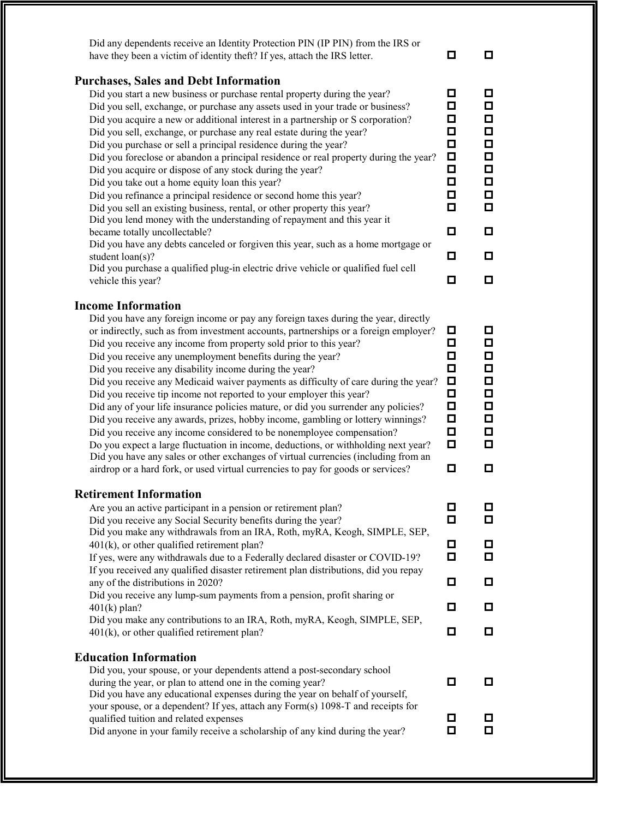| Did any dependents receive an Identity Protection PIN (IP PIN) from the IRS or<br>have they been a victim of identity theft? If yes, attach the IRS letter.                                                                                                                                                                                                                                                                                                                                                                                                                                                                                                                                                                                                                                                                                                                                                                                                                                                                                                                                                                      | O                                                                                 | О                                                                                      |
|----------------------------------------------------------------------------------------------------------------------------------------------------------------------------------------------------------------------------------------------------------------------------------------------------------------------------------------------------------------------------------------------------------------------------------------------------------------------------------------------------------------------------------------------------------------------------------------------------------------------------------------------------------------------------------------------------------------------------------------------------------------------------------------------------------------------------------------------------------------------------------------------------------------------------------------------------------------------------------------------------------------------------------------------------------------------------------------------------------------------------------|-----------------------------------------------------------------------------------|----------------------------------------------------------------------------------------|
| <b>Purchases, Sales and Debt Information</b><br>Did you start a new business or purchase rental property during the year?<br>Did you sell, exchange, or purchase any assets used in your trade or business?<br>Did you acquire a new or additional interest in a partnership or S corporation?<br>Did you sell, exchange, or purchase any real estate during the year?<br>Did you purchase or sell a principal residence during the year?<br>Did you foreclose or abandon a principal residence or real property during the year?<br>Did you acquire or dispose of any stock during the year?<br>Did you take out a home equity loan this year?<br>Did you refinance a principal residence or second home this year?<br>Did you sell an existing business, rental, or other property this year?<br>Did you lend money with the understanding of repayment and this year it<br>became totally uncollectable?<br>Did you have any debts canceled or forgiven this year, such as a home mortgage or<br>student loan(s)?<br>Did you purchase a qualified plug-in electric drive vehicle or qualified fuel cell<br>vehicle this year? | o<br>◘<br>Д<br>О<br>$\Box$<br>$\Box$<br>$\Box$<br>$\Box$<br>◘<br>◘<br>О<br>О<br>o | 0<br>О<br>О<br>О<br>О<br>$\Box$<br>$\Box$<br>$\Box$<br>П<br>О<br>$\Box$<br>О<br>$\Box$ |
| <b>Income Information</b><br>Did you have any foreign income or pay any foreign taxes during the year, directly<br>or indirectly, such as from investment accounts, partnerships or a foreign employer?<br>Did you receive any income from property sold prior to this year?<br>Did you receive any unemployment benefits during the year?<br>Did you receive any disability income during the year?<br>Did you receive any Medicaid waiver payments as difficulty of care during the year?<br>Did you receive tip income not reported to your employer this year?<br>Did any of your life insurance policies mature, or did you surrender any policies?<br>Did you receive any awards, prizes, hobby income, gambling or lottery winnings?<br>Did you receive any income considered to be nonemployee compensation?<br>Do you expect a large fluctuation in income, deductions, or withholding next year?<br>Did you have any sales or other exchanges of virtual currencies (including from an<br>airdrop or a hard fork, or used virtual currencies to pay for goods or services?                                             | □<br>$\Box$<br>$\Box$<br>◘<br>$\Box$<br>$\Box$<br>$\Box$<br>П<br>$\Box$<br>О<br>◘ | О<br>О<br>О<br>О<br>О<br>О<br>$\Box$<br>$\Box$<br>$\Box$<br>О<br>О                     |
| <b>Retirement Information</b><br>Are you an active participant in a pension or retirement plan?<br>Did you receive any Social Security benefits during the year?<br>Did you make any withdrawals from an IRA, Roth, myRA, Keogh, SIMPLE, SEP,<br>$401(k)$ , or other qualified retirement plan?<br>If yes, were any withdrawals due to a Federally declared disaster or COVID-19?<br>If you received any qualified disaster retirement plan distributions, did you repay<br>any of the distributions in 2020?<br>Did you receive any lump-sum payments from a pension, profit sharing or<br>$401(k)$ plan?<br>Did you make any contributions to an IRA, Roth, myRA, Keogh, SIMPLE, SEP,<br>401(k), or other qualified retirement plan?                                                                                                                                                                                                                                                                                                                                                                                           | ◘<br>О<br>О<br>$\Box$<br>◘<br>◘<br>◘                                              | О<br>О<br>$\Box$<br>О<br>$\Box$<br>◘<br>П                                              |
| <b>Education Information</b><br>Did you, your spouse, or your dependents attend a post-secondary school<br>during the year, or plan to attend one in the coming year?<br>Did you have any educational expenses during the year on behalf of yourself,<br>your spouse, or a dependent? If yes, attach any Form(s) 1098-T and receipts for<br>qualified tuition and related expenses<br>Did anyone in your family receive a scholarship of any kind during the year?                                                                                                                                                                                                                                                                                                                                                                                                                                                                                                                                                                                                                                                               | ◘<br>口<br>◘                                                                       | 0<br>0<br>$\Box$                                                                       |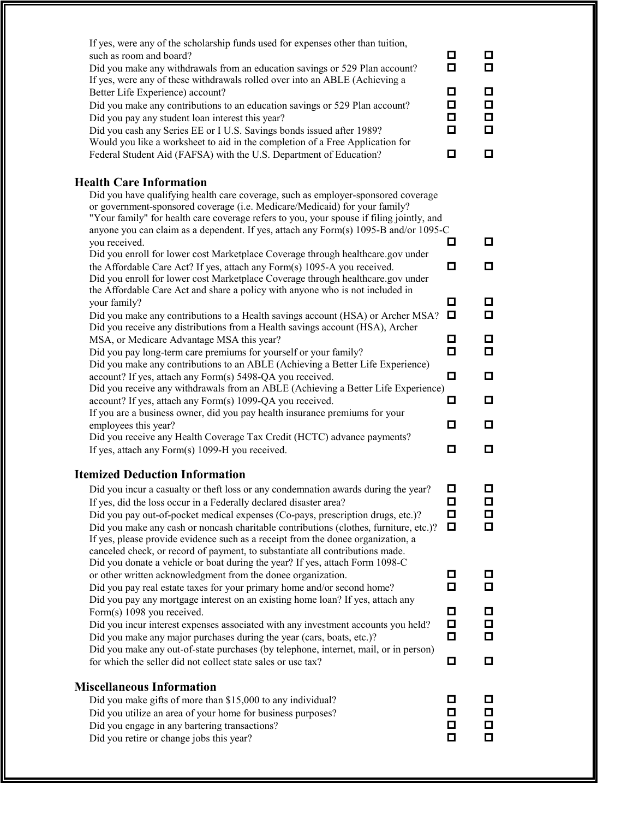| If yes, were any of the scholarship funds used for expenses other than tuition,<br>such as room and board?<br>Did you make any withdrawals from an education savings or 529 Plan account?<br>If yes, were any of these withdrawals rolled over into an ABLE (Achieving a<br>Better Life Experience) account?<br>Did you make any contributions to an education savings or 529 Plan account?<br>Did you pay any student loan interest this year?<br>Did you cash any Series EE or I U.S. Savings bonds issued after 1989?<br>Would you like a worksheet to aid in the completion of a Free Application for<br>Federal Student Aid (FAFSA) with the U.S. Department of Education?                                                                                                                                                                                                                                                                                                                                                                                                                                                                                                                                                                                                                                                                                                                                                                                                                                                                                                      | О.<br>О<br>О<br>$\Box$<br>о<br>О<br>о           | О<br>О<br>о<br>$\Box$<br>$\Box$<br>П<br>о      |
|--------------------------------------------------------------------------------------------------------------------------------------------------------------------------------------------------------------------------------------------------------------------------------------------------------------------------------------------------------------------------------------------------------------------------------------------------------------------------------------------------------------------------------------------------------------------------------------------------------------------------------------------------------------------------------------------------------------------------------------------------------------------------------------------------------------------------------------------------------------------------------------------------------------------------------------------------------------------------------------------------------------------------------------------------------------------------------------------------------------------------------------------------------------------------------------------------------------------------------------------------------------------------------------------------------------------------------------------------------------------------------------------------------------------------------------------------------------------------------------------------------------------------------------------------------------------------------------|-------------------------------------------------|------------------------------------------------|
| <b>Health Care Information</b><br>Did you have qualifying health care coverage, such as employer-sponsored coverage<br>or government-sponsored coverage (i.e. Medicare/Medicaid) for your family?<br>"Your family" for health care coverage refers to you, your spouse if filing jointly, and<br>anyone you can claim as a dependent. If yes, attach any Form(s) 1095-B and/or 1095-C<br>you received.<br>Did you enroll for lower cost Marketplace Coverage through healthcare.gov under<br>the Affordable Care Act? If yes, attach any Form(s) 1095-A you received.<br>Did you enroll for lower cost Marketplace Coverage through healthcare.gov under<br>the Affordable Care Act and share a policy with anyone who is not included in<br>your family?<br>Did you make any contributions to a Health savings account (HSA) or Archer MSA?<br>Did you receive any distributions from a Health savings account (HSA), Archer<br>MSA, or Medicare Advantage MSA this year?<br>Did you pay long-term care premiums for yourself or your family?<br>Did you make any contributions to an ABLE (Achieving a Better Life Experience)<br>account? If yes, attach any Form(s) 5498-QA you received.<br>Did you receive any withdrawals from an ABLE (Achieving a Better Life Experience)<br>account? If yes, attach any Form(s) 1099-QA you received.<br>If you are a business owner, did you pay health insurance premiums for your<br>employees this year?<br>Did you receive any Health Coverage Tax Credit (HCTC) advance payments?<br>If yes, attach any Form(s) 1099-H you received. | 0<br>О<br>о<br>О<br>0.<br>о<br>о<br>0<br>o<br>о | 0<br>о<br>о<br>О<br>о<br>о<br>О<br>О<br>О<br>о |
| <b>Itemized Deduction Information</b><br>Did you incur a casualty or theft loss or any condemnation awards during the year?<br>If yes, did the loss occur in a Federally declared disaster area?<br>Did you pay out-of-pocket medical expenses (Co-pays, prescription drugs, etc.)?<br>Did you make any cash or noncash charitable contributions (clothes, furniture, etc.)?<br>If yes, please provide evidence such as a receipt from the donee organization, a<br>canceled check, or record of payment, to substantiate all contributions made.<br>Did you donate a vehicle or boat during the year? If yes, attach Form 1098-C<br>or other written acknowledgment from the donee organization.<br>Did you pay real estate taxes for your primary home and/or second home?<br>Did you pay any mortgage interest on an existing home loan? If yes, attach any<br>Form(s) 1098 you received.<br>Did you incur interest expenses associated with any investment accounts you held?<br>Did you make any major purchases during the year (cars, boats, etc.)?<br>Did you make any out-of-state purchases (by telephone, internet, mail, or in person)<br>for which the seller did not collect state sales or use tax?                                                                                                                                                                                                                                                                                                                                                                   | о<br>о<br>О<br>0<br>0<br>о<br>0<br>о<br>0<br>0  | □<br>о<br>0<br>о<br>0<br>о<br>0<br>О<br>О<br>о |
| <b>Miscellaneous Information</b><br>Did you make gifts of more than \$15,000 to any individual?<br>Did you utilize an area of your home for business purposes?<br>Did you engage in any bartering transactions?<br>Did you retire or change jobs this year?                                                                                                                                                                                                                                                                                                                                                                                                                                                                                                                                                                                                                                                                                                                                                                                                                                                                                                                                                                                                                                                                                                                                                                                                                                                                                                                          | 0<br>0<br>о<br>□                                | О<br>о<br>0<br>О                               |